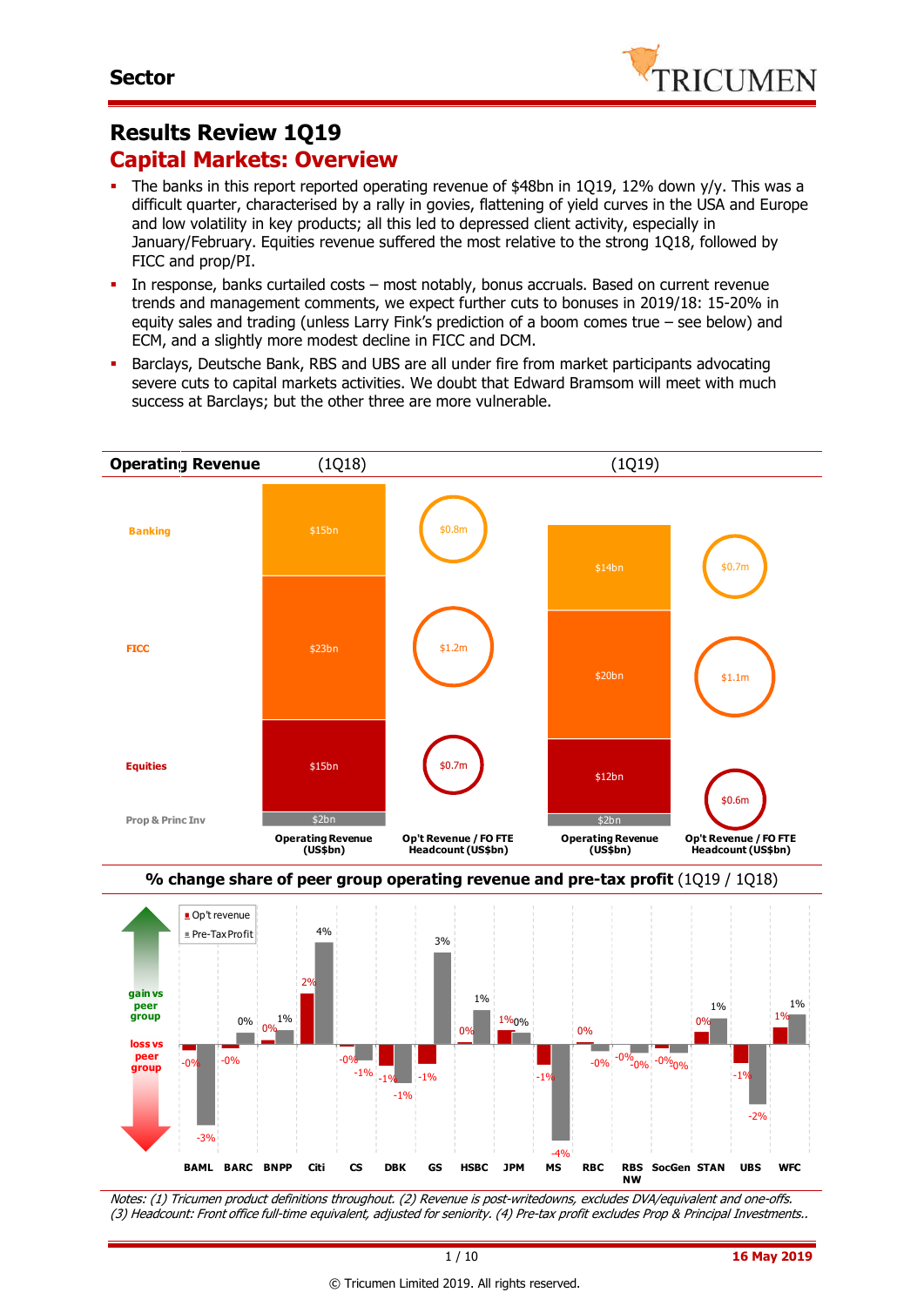

# **Results Review 1Q19 Capital Markets: Overview**

- The banks in this report reported operating revenue of \$48bn in 1Q19, 12% down y/y. This was a difficult quarter, characterised by a rally in govies, flattening of yield curves in the USA and Europe and low volatility in key products; all this led to depressed client activity, especially in January/February. Equities revenue suffered the most relative to the strong 1Q18, followed by FICC and prop/PI.
- In response, banks curtailed costs most notably, bonus accruals. Based on current revenue trends and management comments, we expect further cuts to bonuses in 2019/18: 15-20% in equity sales and trading (unless Larry Fink's prediction of a boom comes true – see below) and ECM, and a slightly more modest decline in FICC and DCM.
- Barclays, Deutsche Bank, RBS and UBS are all under fire from market participants advocating severe cuts to capital markets activities. We doubt that Edward Bramsom will meet with much success at Barclays; but the other three are more vulnerable.





Notes: (1) Tricumen product definitions throughout. (2) Revenue is post-writedowns, excludes DVA/equivalent and one-offs. (3) Headcount: Front office full-time equivalent, adjusted for seniority. (4) Pre-tax profit excludes Prop & Principal Investments..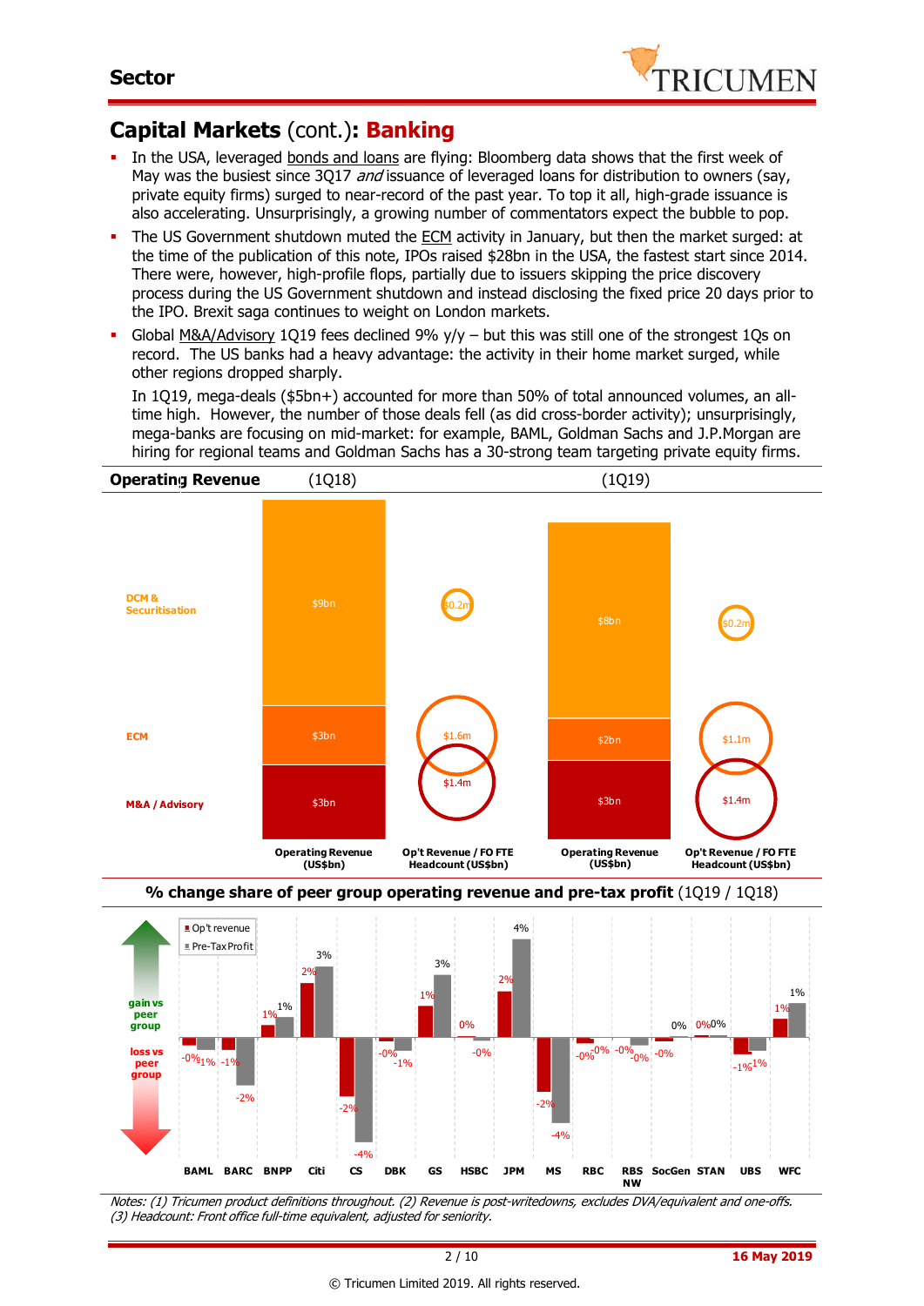

#### **Capital Markets** (cont.)**: Banking**

- In the USA, leveraged bonds and loans are flying: Bloomberg data shows that the first week of May was the busiest since 3Q17 *and* issuance of leveraged loans for distribution to owners (say, private equity firms) surged to near-record of the past year. To top it all, high-grade issuance is also accelerating. Unsurprisingly, a growing number of commentators expect the bubble to pop.
- The US Government shutdown muted the ECM activity in January, but then the market surged: at the time of the publication of this note, IPOs raised \$28bn in the USA, the fastest start since 2014. There were, however, high-profile flops, partially due to issuers skipping the price discovery process during the US Government shutdown and instead disclosing the fixed price 20 days prior to the IPO. Brexit saga continues to weight on London markets.
- Global M&A/Advisory 1019 fees declined  $9\%$  y/y but this was still one of the strongest 10s on record. The US banks had a heavy advantage: the activity in their home market surged, while other regions dropped sharply.

In 1Q19, mega-deals (\$5bn+) accounted for more than 50% of total announced volumes, an alltime high. However, the number of those deals fell (as did cross-border activity); unsurprisingly, mega-banks are focusing on mid-market: for example, BAML, Goldman Sachs and J.P.Morgan are hiring for regional teams and Goldman Sachs has a 30-strong team targeting private equity firms.



Notes: (1) Tricumen product definitions throughout. (2) Revenue is post-writedowns, excludes DVA/equivalent and one-offs. **NW**

-2%

-4%

(3) Headcount: Front office full-time equivalent, adjusted for seniority.

-2%

 $-4%$ 

**BAML BARC BNPP Citi CS DBK GS HSBC JPM MS RBC RBS** 

-2%

**SocGen STAN UBS WFC**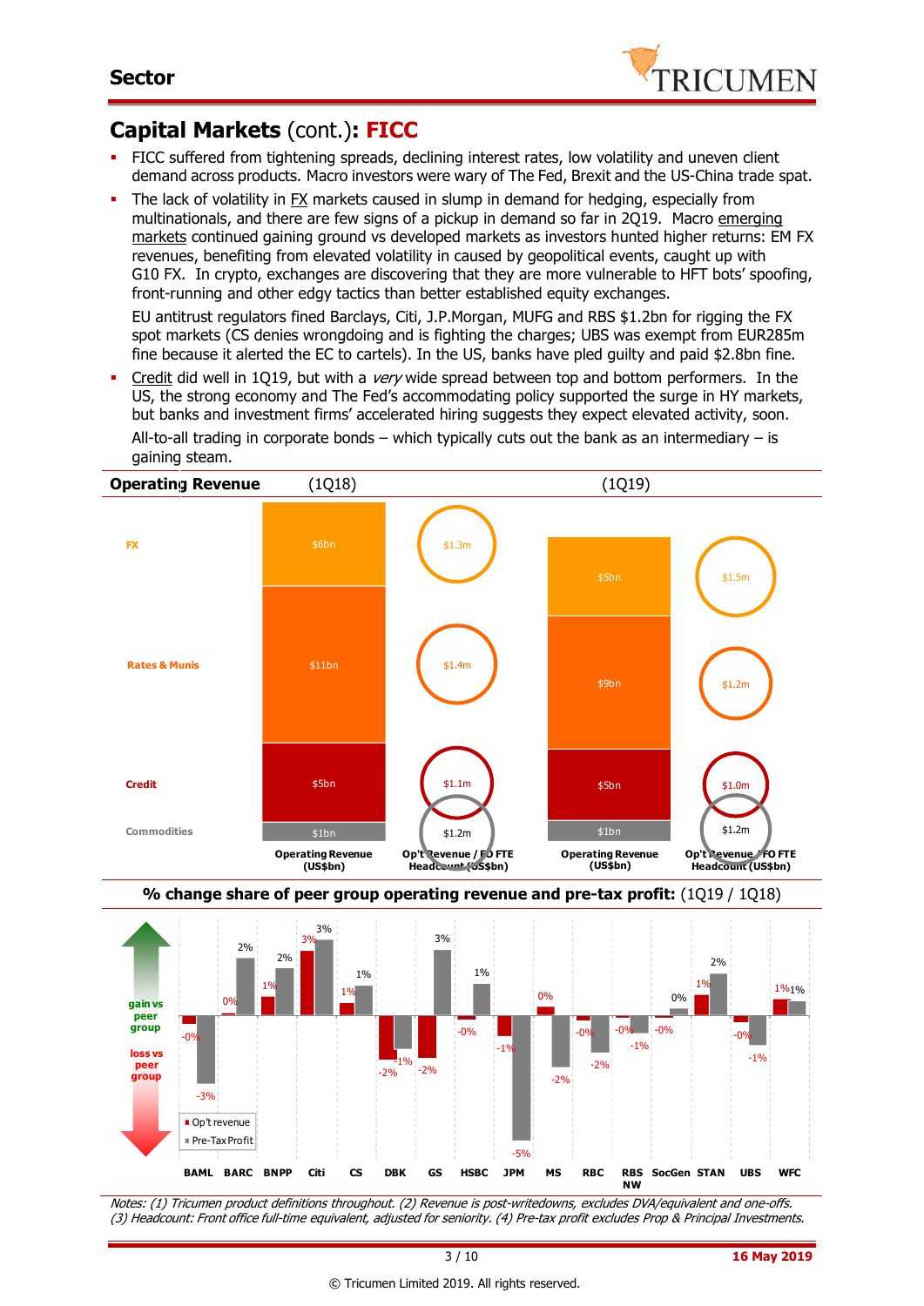

## **Capital Markets** (cont.)**: FICC**

- FICC suffered from tightening spreads, declining interest rates, low volatility and uneven client demand across products. Macro investors were wary of The Fed, Brexit and the US-China trade spat.
- The lack of volatility in FX markets caused in slump in demand for hedging, especially from multinationals, and there are few signs of a pickup in demand so far in 2Q19. Macro emerging markets continued gaining ground vs developed markets as investors hunted higher returns: EM FX revenues, benefiting from elevated volatility in caused by geopolitical events, caught up with G10 FX. In crypto, exchanges are discovering that they are more vulnerable to HFT bots' spoofing, front-running and other edgy tactics than better established equity exchanges.

EU antitrust regulators fined Barclays, Citi, J.P.Morgan, MUFG and RBS \$1.2bn for rigging the FX spot markets (CS denies wrongdoing and is fighting the charges; UBS was exempt from EUR285m fine because it alerted the EC to cartels). In the US, banks have pled guilty and paid \$2.8bn fine.

Credit did well in 1Q19, but with a very wide spread between top and bottom performers. In the US, the strong economy and The Fed's accommodating policy supported the surge in HY markets, but banks and investment firms' accelerated hiring suggests they expect elevated activity, soon. All-to-all trading in corporate bonds – which typically cuts out the bank as an intermediary – is gaining steam.



Notes: (1) Tricumen product definitions throughout. (2) Revenue is post-writedowns, excludes DVA/equivalent and one-offs. (3) Headcount: Front office full-time equivalent, adjusted for seniority. (4) Pre-tax profit excludes Prop & Principal Investments.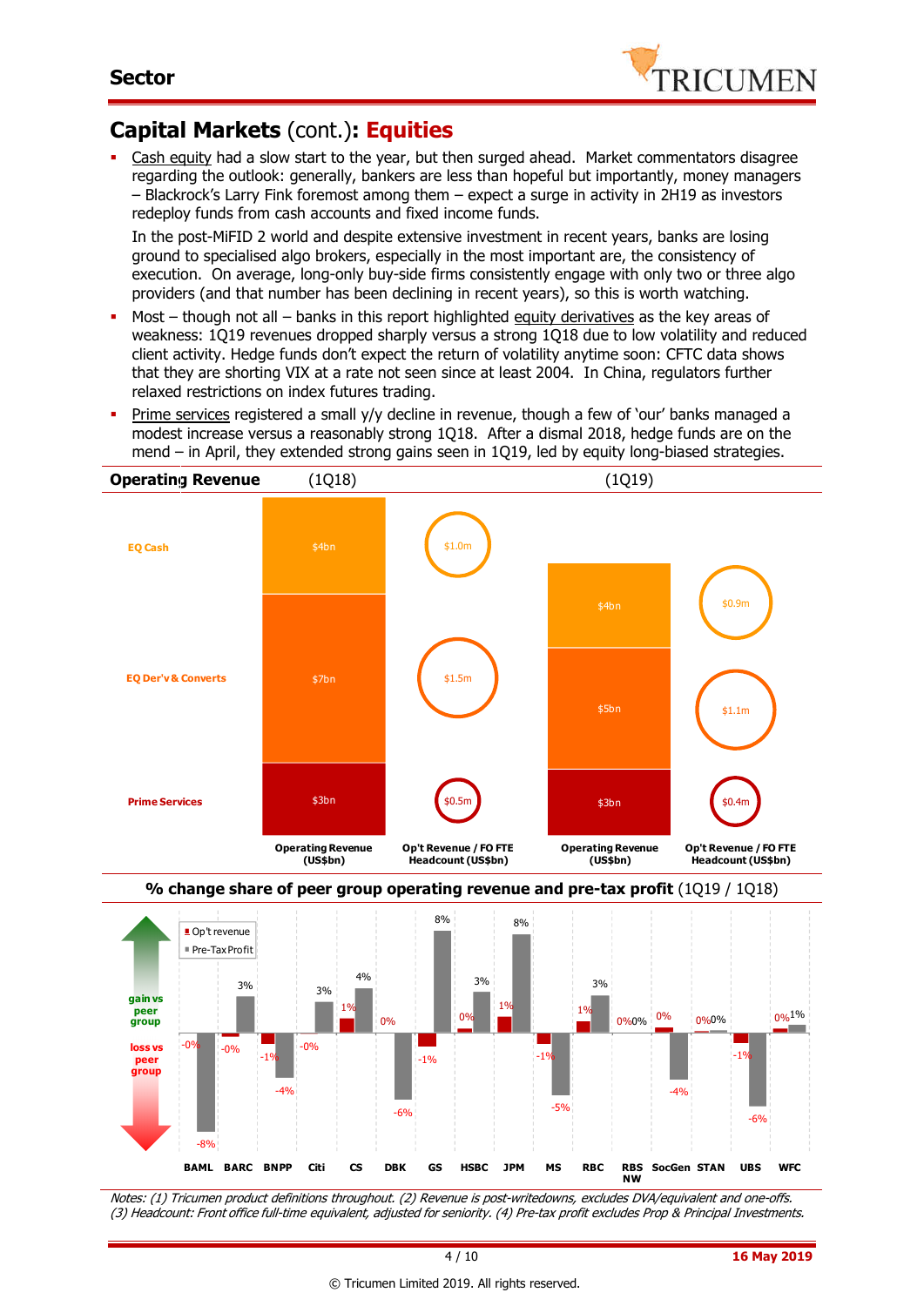

## **Capital Markets** (cont.)**: Equities**

 Cash equity had a slow start to the year, but then surged ahead. Market commentators disagree regarding the outlook: generally, bankers are less than hopeful but importantly, money managers – Blackrock's Larry Fink foremost among them – expect a surge in activity in 2H19 as investors redeploy funds from cash accounts and fixed income funds.

In the post-MiFID 2 world and despite extensive investment in recent years, banks are losing ground to specialised algo brokers, especially in the most important are, the consistency of execution. On average, long-only buy-side firms consistently engage with only two or three algo providers (and that number has been declining in recent years), so this is worth watching.

- Most though not all banks in this report highlighted equity derivatives as the key areas of weakness: 1Q19 revenues dropped sharply versus a strong 1Q18 due to low volatility and reduced client activity. Hedge funds don't expect the return of volatility anytime soon: CFTC data shows that they are shorting VIX at a rate not seen since at least 2004. In China, regulators further relaxed restrictions on index futures trading.
- Prime services registered a small y/y decline in revenue, though a few of 'our' banks managed a modest increase versus a reasonably strong 1Q18. After a dismal 2018, hedge funds are on the mend – in April, they extended strong gains seen in 1Q19, led by equity long-biased strategies.





Notes: (1) Tricumen product definitions throughout. (2) Revenue is post-writedowns, excludes DVA/equivalent and one-offs. (3) Headcount: Front office full-time equivalent, adjusted for seniority. (4) Pre-tax profit excludes Prop & Principal Investments.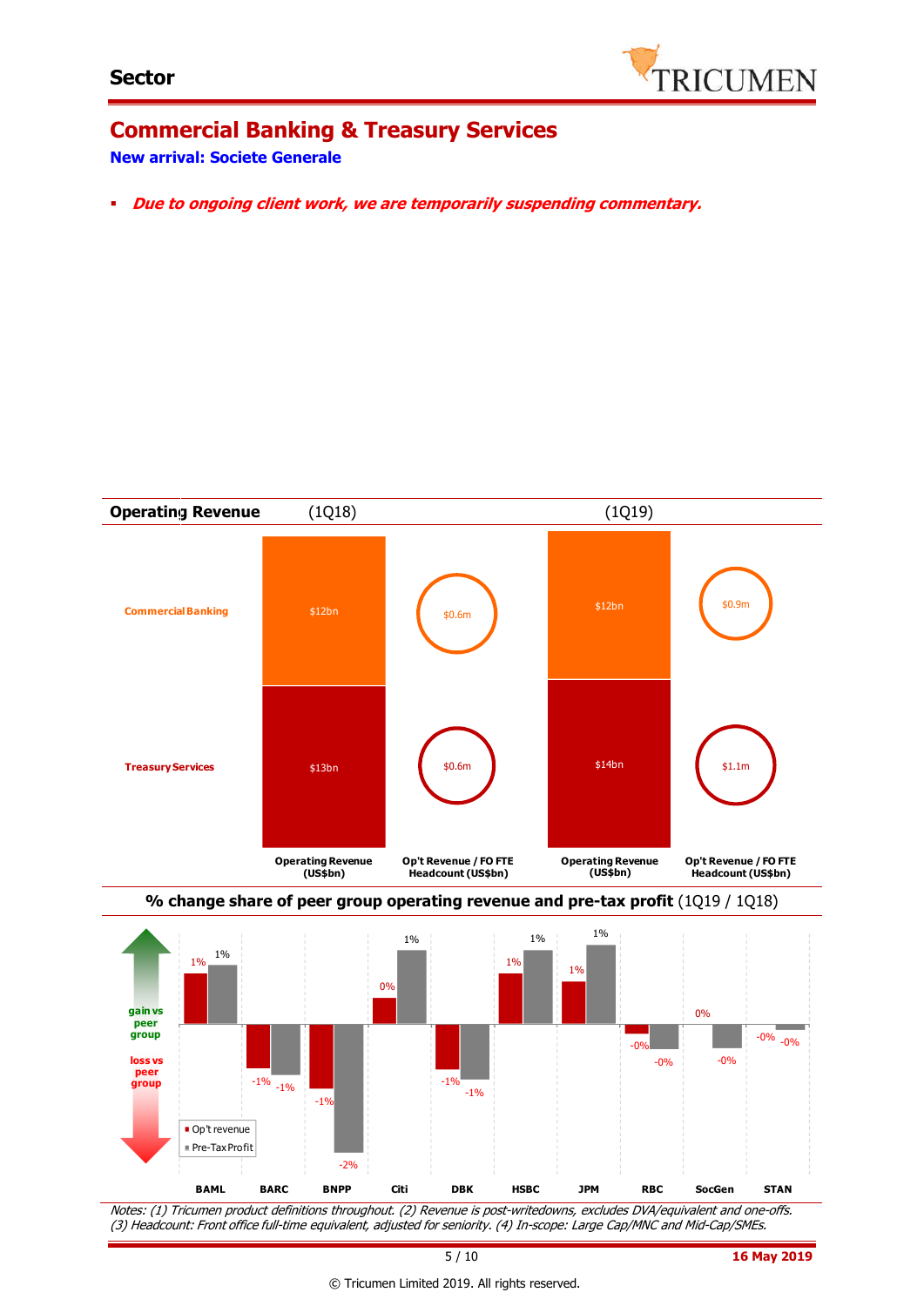

# **Commercial Banking & Treasury Services**

#### **New arrival: Societe Generale**

**Due to ongoing client work, we are temporarily suspending commentary.**





Notes: (1) Tricumen product definitions throughout. (2) Revenue is post-writedowns, excludes DVA/equivalent and one-offs. (3) Headcount: Front office full-time equivalent, adjusted for seniority. (4) In-scope: Large Cap/MNC and Mid-Cap/SMEs.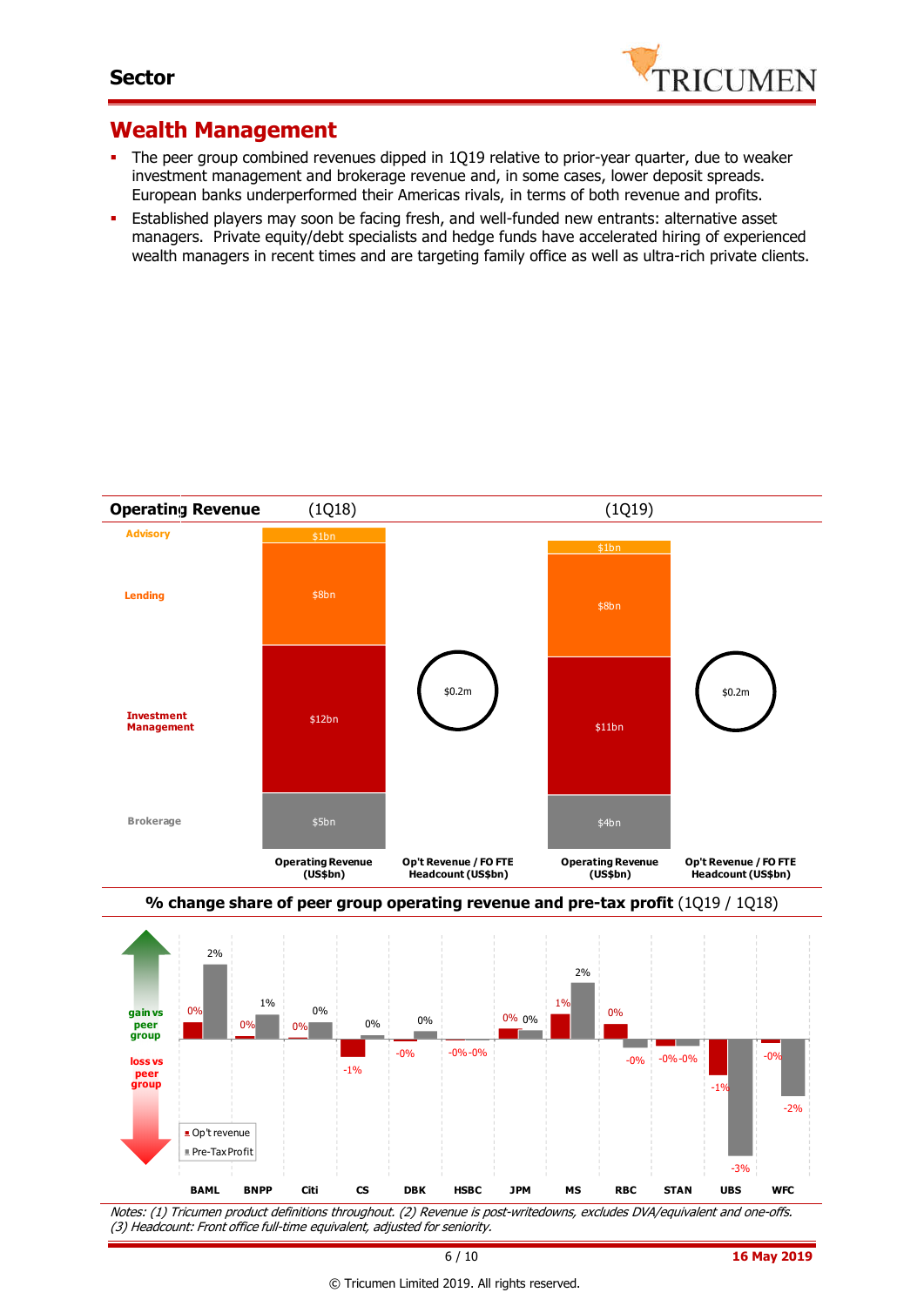

#### **Wealth Management**

- The peer group combined revenues dipped in 1Q19 relative to prior-year quarter, due to weaker investment management and brokerage revenue and, in some cases, lower deposit spreads. European banks underperformed their Americas rivals, in terms of both revenue and profits.
- **Established players may soon be facing fresh, and well-funded new entrants: alternative asset** managers. Private equity/debt specialists and hedge funds have accelerated hiring of experienced wealth managers in recent times and are targeting family office as well as ultra-rich private clients.





Notes: (1) Tricumen product definitions throughout. (2) Revenue is post-writedowns, excludes DVA/equivalent and one-offs. (3) Headcount: Front office full-time equivalent, adjusted for seniority.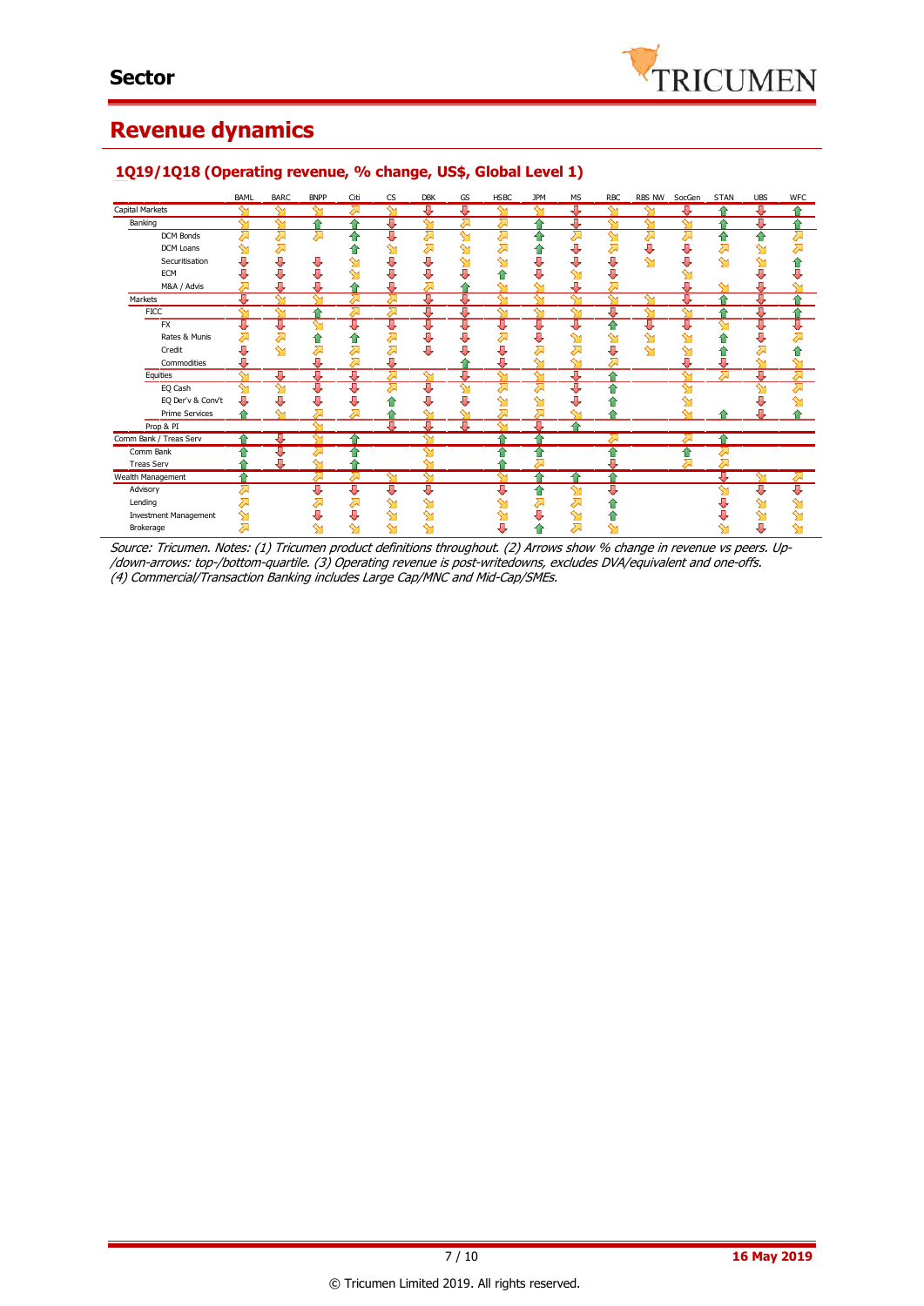

#### **Revenue dynamics**

|                              | <b>BAML</b> | <b>BARC</b> | <b>BNPP</b>        | Citi          | <b>CS</b> | <b>DBK</b> | GS | <b>HSBC</b> | JPM    | МS     | <b>RBC</b> | RBS NW | SocGen | <b>STAN</b> | <b>UBS</b>    | <b>WFC</b>   |
|------------------------------|-------------|-------------|--------------------|---------------|-----------|------------|----|-------------|--------|--------|------------|--------|--------|-------------|---------------|--------------|
| Capital Markets              | ∾           | ∾           | ∾                  | ᄉ             | ∾         | J          | 專  | ∾           | ∾      | Д      | ∾          |        |        | ≏           | ⊕             |              |
| Banking                      | $\sim$      | ∾           | ≏                  |               | Д         | $\sim$     | ⋝  |             |        | п      | ∾          | ∾      |        |             | J,            |              |
| DCM Bonds                    | ⋝           | 겨           | ⋝                  | ♠             | J         | 겨          | ഷ  | $\sum$      | ⇑      | ⋝      | ഷ          | ⋝      | ⋝      | 슬           | ⋒             | ⋝            |
| DCM Loans                    |             | ⋝           |                    |               | ⇘         | ⋝          | ⇘  | ⋝           | 11     |        | ⋝          |        |        |             | ⇘             | <del>⊼</del> |
| Securitisation               | U           | U           | ⇩                  |               | U         | U          | ↬  | ∾           |        |        | J,         | ∾      | J      | ∾           |               |              |
| ECM                          | U           | J           | ⇩                  | ↬             | U         | U          |    | 11          |        |        |            |        |        |             |               |              |
| M&A / Advis                  | ⋝           | Д           | U                  |               | Л         | 对          |    | ∾           | ∾      | Д      | 对          |        | Д      |             |               |              |
| Markets                      | J,          | $\sim$      | $\sim$             |               | 对         | J          | J  | $\sim$      | $\sim$ | ∼      | $\sim$     | $\sim$ | Д      | ۵           | л             |              |
| <b>FICC</b>                  | $\sim$      | ள           | ≏                  | ⋝             | 겨         | J,         | J  | $\sim$      | $\sim$ | $\sim$ | J          | ∾      | $\sim$ | ≏           | J             |              |
| <b>FX</b>                    | J,          | ∪           | ∾                  | J             | ण         | U          | τ  | U           | Д      | Л,     |            | Д      | Д      | ∾           | J             | U            |
| Rates & Munis                | 对           | 겨           | ⇑                  | 습             | 对         | U          |    |             |        |        |            | ∾      |        |             |               |              |
| Credit                       | Д           | ∾           | Σ                  | ⋝             | 对         | U          |    |             |        |        | J,         | ∾      | ∾      | m           | ⋝             |              |
| Commodities                  |             |             |                    | ⋝             | J         |            |    |             | ∾      | ∾      | ⋝          |        | л      |             | ∾             | ∾            |
| Equities                     | ∾           | J           | J.                 | л             | ⋝         | ഷ          | л  | ∾           | ∾      | U      |            |        | ∾      |             | л             | ⇗            |
| EQ Cash                      | ⇘           | ഷ           | U                  | ⊕             | ⋝         | J          | ഷ  | ⋝           | ↗      | Π,     |            |        | ∾      |             | $\rightarrow$ | Σ            |
| EQ Der'v & Conv't            | J           | J           | U                  | J             |           | δ,         | п  | ∾           | ↬      |        |            |        |        |             |               |              |
| <b>Prime Services</b>        |             | ∾           | Σ                  |               |           |            |    | Σ           |        |        |            |        |        |             |               |              |
| Prop & PI                    |             |             | ∾                  |               | B.        | Д          | Д  | ∾           | Л      |        |            |        |        |             |               |              |
| Comm Bank / Treas Serv       |             | IJ,         |                    | $\rightarrow$ |           |            |    | ۸           | ↷      |        | ∽          |        |        | ♠           |               |              |
| Comm Bank                    |             | U           | $\curvearrowright$ |               |           | ∾          |    |             | ⇧      |        |            |        | ⇑      | Σ           |               |              |
| <b>Treas Serv</b>            |             | J,          | ∾                  |               |           | ∾          |    |             |        |        |            |        | ⋝      |             |               |              |
| Wealth Management            |             |             | ∽                  |               | ∾         | ∾          |    | ∾           | 仐      |        |            |        |        |             | ↬             | ↗            |
| Advisory                     | ⊼           |             | U                  | ⊕             | ⊕         | U          |    | Д           | ⇑      | ∾      | Д          |        |        |             | Д             | ⇩            |
| Lending                      |             |             | ∽                  | ᠗             | ∾         | ∾          |    |             | 对      |        |            |        |        |             |               | ∾            |
| <b>Investment Management</b> | ⇘           |             |                    | J             | ⇘         | ↬          |    |             |        |        |            |        |        |             |               |              |
| Brokerage                    | Д           |             | ∾                  | $\sim$        | $\sim$    | $\sim$     |    |             |        |        |            |        |        |             | J             |              |

#### **1Q19/1Q18 (Operating revenue, % change, US\$, Global Level 1)**

Source: Tricumen. Notes: (1) Tricumen product definitions throughout. (2) Arrows show % change in revenue vs peers. Up- /down-arrows: top-/bottom-quartile. (3) Operating revenue is post-writedowns, excludes DVA/equivalent and one-offs. (4) Commercial/Transaction Banking includes Large Cap/MNC and Mid-Cap/SMEs.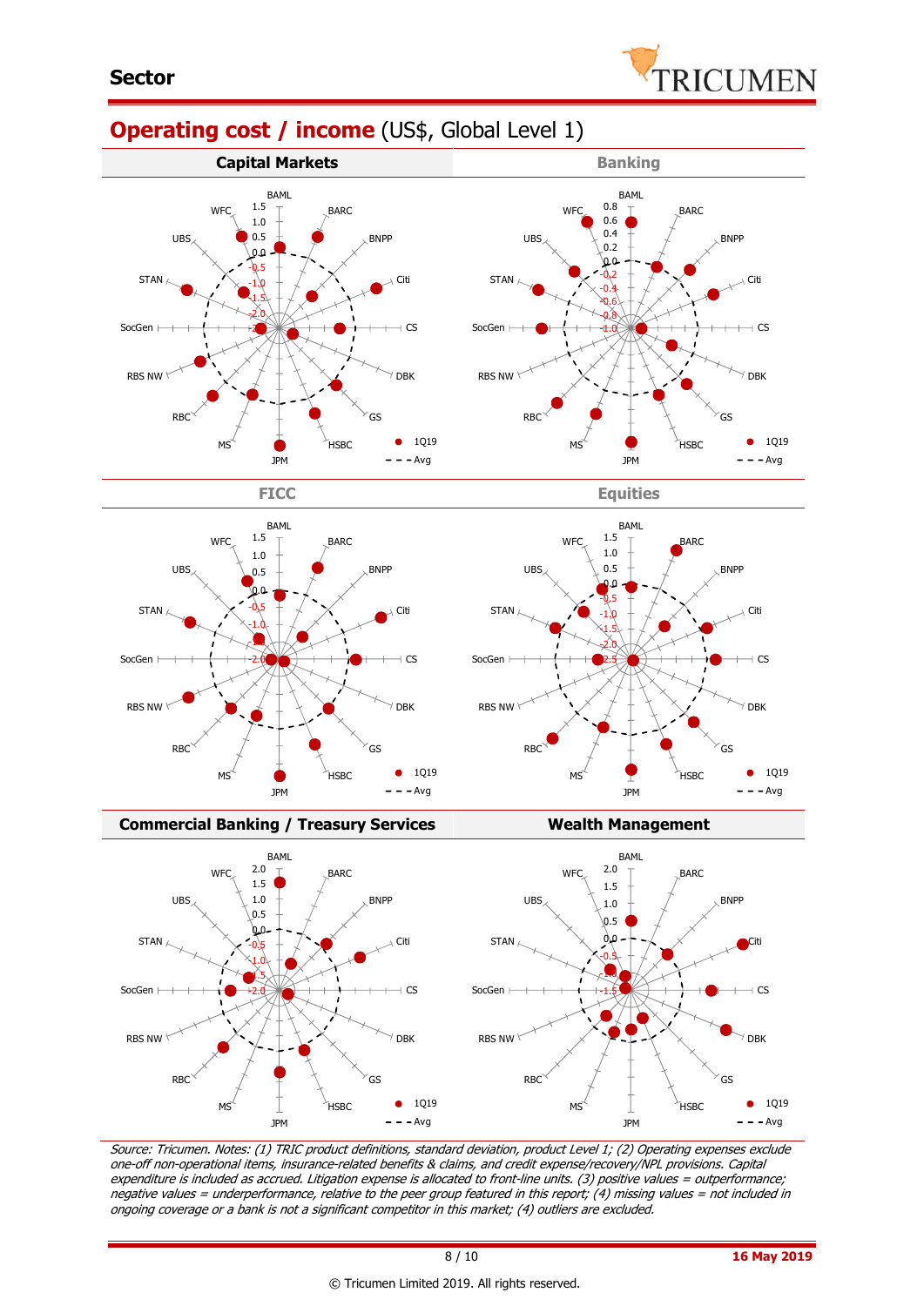

## **Operating cost / income** (US\$, Global Level 1)







**Commercial Banking / Treasury Services Wealth Management** 



Source: Tricumen. Notes: (1) TRIC product definitions, standard deviation, product Level 1; (2) Operating expenses exclude one-off non-operational items, insurance-related benefits & claims, and credit expense/recovery/NPL provisions. Capital expenditure is included as accrued. Litigation expense is allocated to front-line units. (3) positive values = outperformance; negative values = underperformance, relative to the peer group featured in this report; (4) missing values = not included in ongoing coverage or a bank is not a significant competitor in this market; (4) outliers are excluded.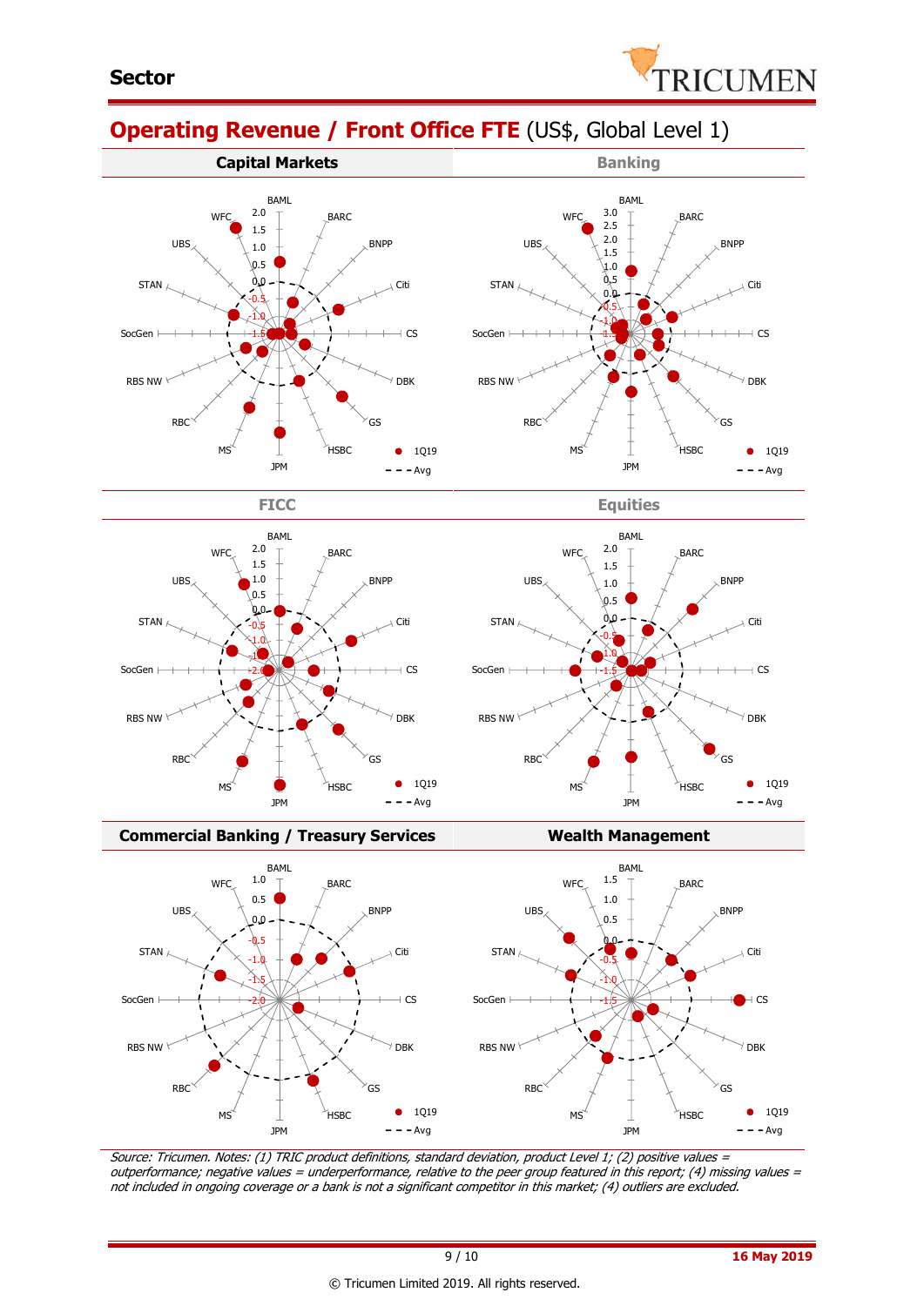

# **Operating Revenue / Front Office FTE** (US\$, Global Level 1)





BAML









#### **Commercial Banking / Treasury Services Wealth Management**



Source: Tricumen. Notes: (1) TRIC product definitions, standard deviation, product Level 1; (2) positive values <sup>=</sup> outperformance; negative values = underperformance, relative to the peer group featured in this report; (4) missing values = not included in ongoing coverage or a bank is not a significant competitor in this market; (4) outliers are excluded.